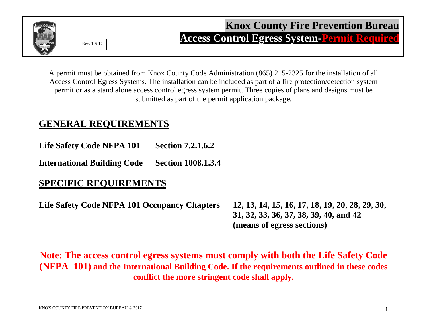

A permit must be obtained from Knox County Code Administration (865) 215-2325 for the installation of all Access Control Egress Systems. The installation can be included as part of a fire protection/detection system permit or as a stand alone access control egress system permit. Three copies of plans and designs must be submitted as part of the permit application package.

## **GENERAL REQUIREMENTS**

**Life Safety Code NFPA 101 Section 7.2.1.6.2**

**International Building Code Section 1008.1.3.4**

## **SPECIFIC REQUIREMENTS**

**Life Safety Code NFPA 101 Occupancy Chapters 12, 13, 14, 15, 16, 17, 18, 19, 20, 28, 29, 30,** 

**31, 32, 33, 36, 37, 38, 39, 40, and 42 (means of egress sections)**

**Note: The access control egress systems must comply with both the Life Safety Code (NFPA 101) and the International Building Code. If the requirements outlined in these codes conflict the more stringent code shall apply.**